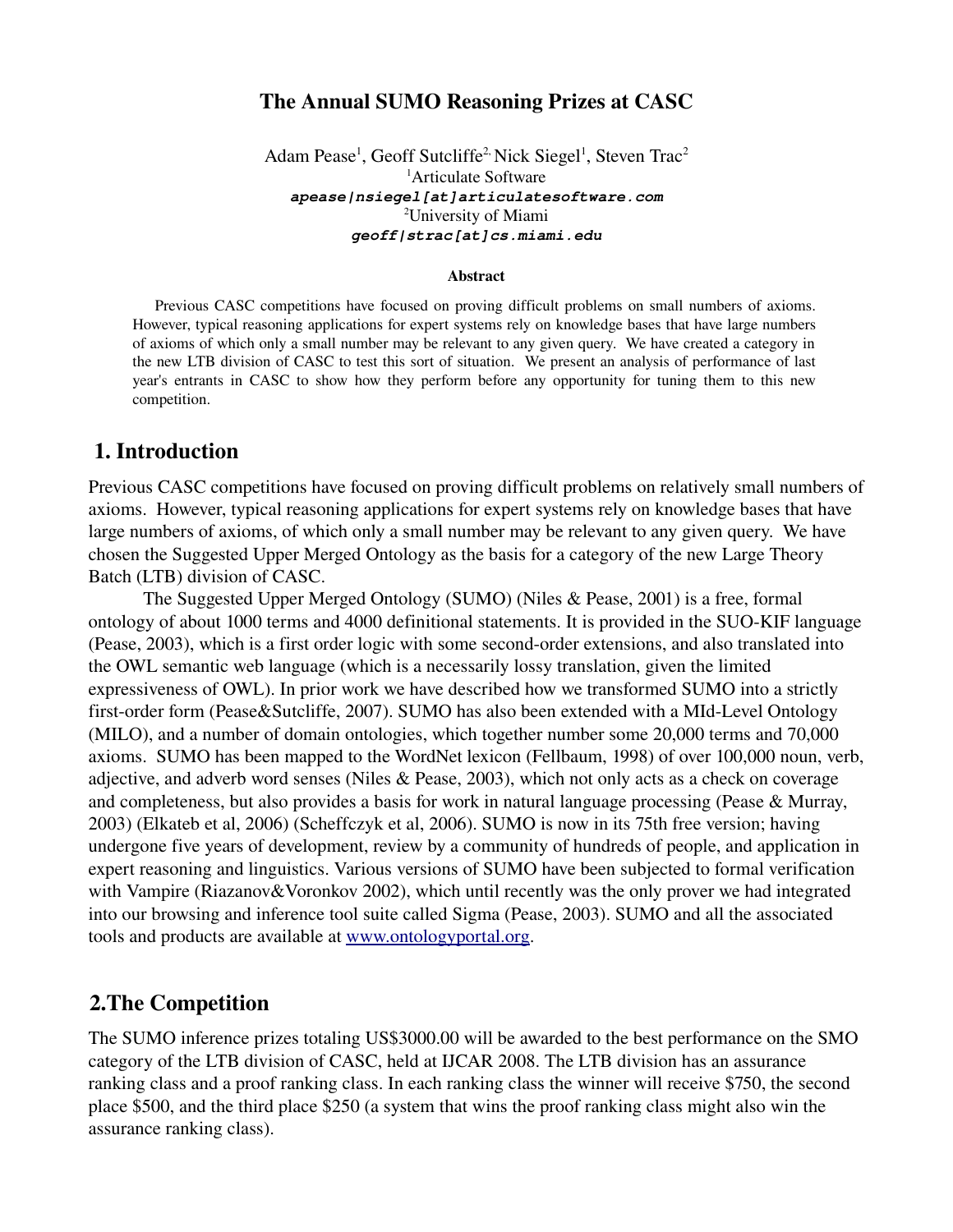## The Annual SUMO Reasoning Prizes at CASC

Adam Pease<sup>1</sup>, Geoff Sutcliffe<sup>2,</sup> Nick Siegel<sup>1</sup>, Steven Trac<sup>2</sup> <sup>1</sup>Articulate Software **apease|nsiegel[at]articulatesoftware.com** <sup>2</sup>University of Miami **geoff|strac[at]cs.miami.edu**

#### Abstract

Previous CASC competitions have focused on proving difficult problems on small numbers of axioms. However, typical reasoning applications for expert systems rely on knowledge bases that have large numbers of axioms of which only a small number may be relevant to any given query. We have created a category in the new LTB division of CASC to test this sort of situation. We present an analysis of performance of last year's entrants in CASC to show how they perform before any opportunity for tuning them to this new competition.

## 1. Introduction

Previous CASC competitions have focused on proving difficult problems on relatively small numbers of axioms. However, typical reasoning applications for expert systems rely on knowledge bases that have large numbers of axioms, of which only a small number may be relevant to any given query. We have chosen the Suggested Upper Merged Ontology as the basis for a category of the new Large Theory Batch (LTB) division of CASC.

The Suggested Upper Merged Ontology (SUMO) (Niles & Pease, 2001) is a free, formal ontology of about 1000 terms and 4000 definitional statements. It is provided in the SUO-KIF language (Pease, 2003), which is a first order logic with some second-order extensions, and also translated into the OWL semantic web language (which is a necessarily lossy translation, given the limited expressiveness of OWL). In prior work we have described how we transformed SUMO into a strictly first-order form (Pease&Sutcliffe, 2007). SUMO has also been extended with a MId-Level Ontology (MILO), and a number of domain ontologies, which together number some 20,000 terms and 70,000 axioms. SUMO has been mapped to the WordNet lexicon (Fellbaum, 1998) of over 100,000 noun, verb, adjective, and adverb word senses (Niles & Pease, 2003), which not only acts as a check on coverage and completeness, but also provides a basis for work in natural language processing (Pease & Murray, 2003) (Elkateb et al, 2006) (Scheffczyk et al, 2006). SUMO is now in its 75th free version; having undergone five years of development, review by a community of hundreds of people, and application in expert reasoning and linguistics. Various versions of SUMO have been subjected to formal verification with Vampire (Riazanov&Voronkov 2002), which until recently was the only prover we had integrated into our browsing and inference tool suite called Sigma (Pease, 2003). SUMO and all the associated tools and products are available at [www.ontologyportal.org.](http://www.ontologyportal.org/)

## 2.The Competition

The SUMO inference prizes totaling US\$3000.00 will be awarded to the best performance on the SMO category of the LTB division of CASC, held at IJCAR 2008. The LTB division has an assurance ranking class and a proof ranking class. In each ranking class the winner will receive \$750, the second place \$500, and the third place \$250 (a system that wins the proof ranking class might also win the assurance ranking class).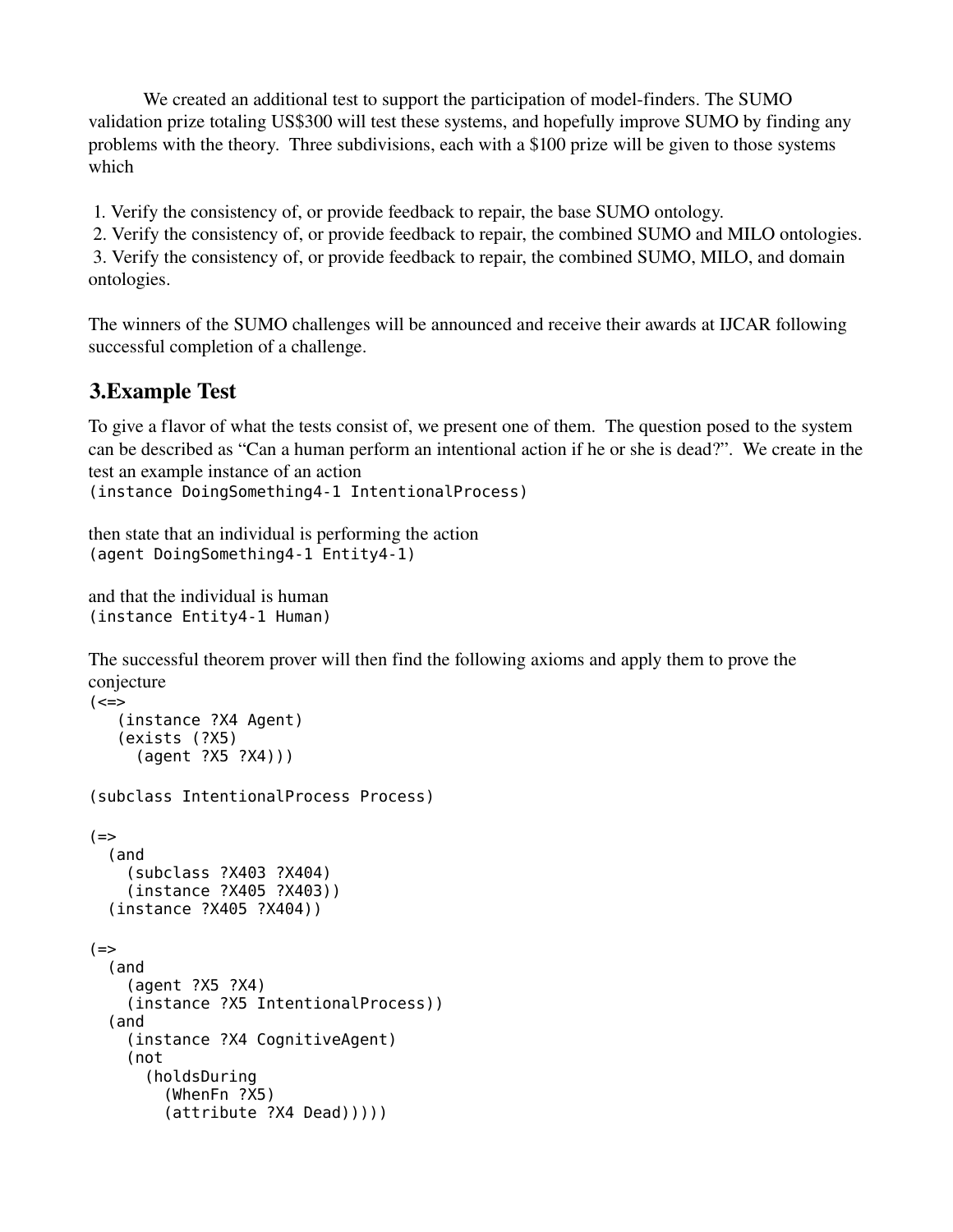We created an additional test to support the participation of model-finders. The SUMO validation prize totaling US\$300 will test these systems, and hopefully improve SUMO by finding any problems with the theory. Three subdivisions, each with a \$100 prize will be given to those systems which

1. Verify the consistency of, or provide feedback to repair, the base SUMO ontology.

2. Verify the consistency of, or provide feedback to repair, the combined SUMO and MILO ontologies.

 3. Verify the consistency of, or provide feedback to repair, the combined SUMO, MILO, and domain ontologies.

The winners of the SUMO challenges will be announced and receive their awards at IJCAR following successful completion of a challenge.

# 3.Example Test

To give a flavor of what the tests consist of, we present one of them. The question posed to the system can be described as "Can a human perform an intentional action if he or she is dead?". We create in the test an example instance of an action

```
(instance DoingSomething4-1 IntentionalProcess)
```
then state that an individual is performing the action (agent DoingSomething4-1 Entity4-1)

```
and that the individual is human
(instance Entity4-1 Human)
```
The successful theorem prover will then find the following axioms and apply them to prove the conjecture

```
( <=>
    (instance ?X4 Agent)
    (exists (?X5)
      (agent ?X5 ?X4)))
(subclass IntentionalProcess Process)
(==) (and
     (subclass ?X403 ?X404)
     (instance ?X405 ?X403))
   (instance ?X405 ?X404))
( ==) (and
     (agent ?X5 ?X4)
     (instance ?X5 IntentionalProcess))
   (and
     (instance ?X4 CognitiveAgent)
     (not
       (holdsDuring
         (WhenFn ?X5) 
         (attribute ?X4 Dead)))))
```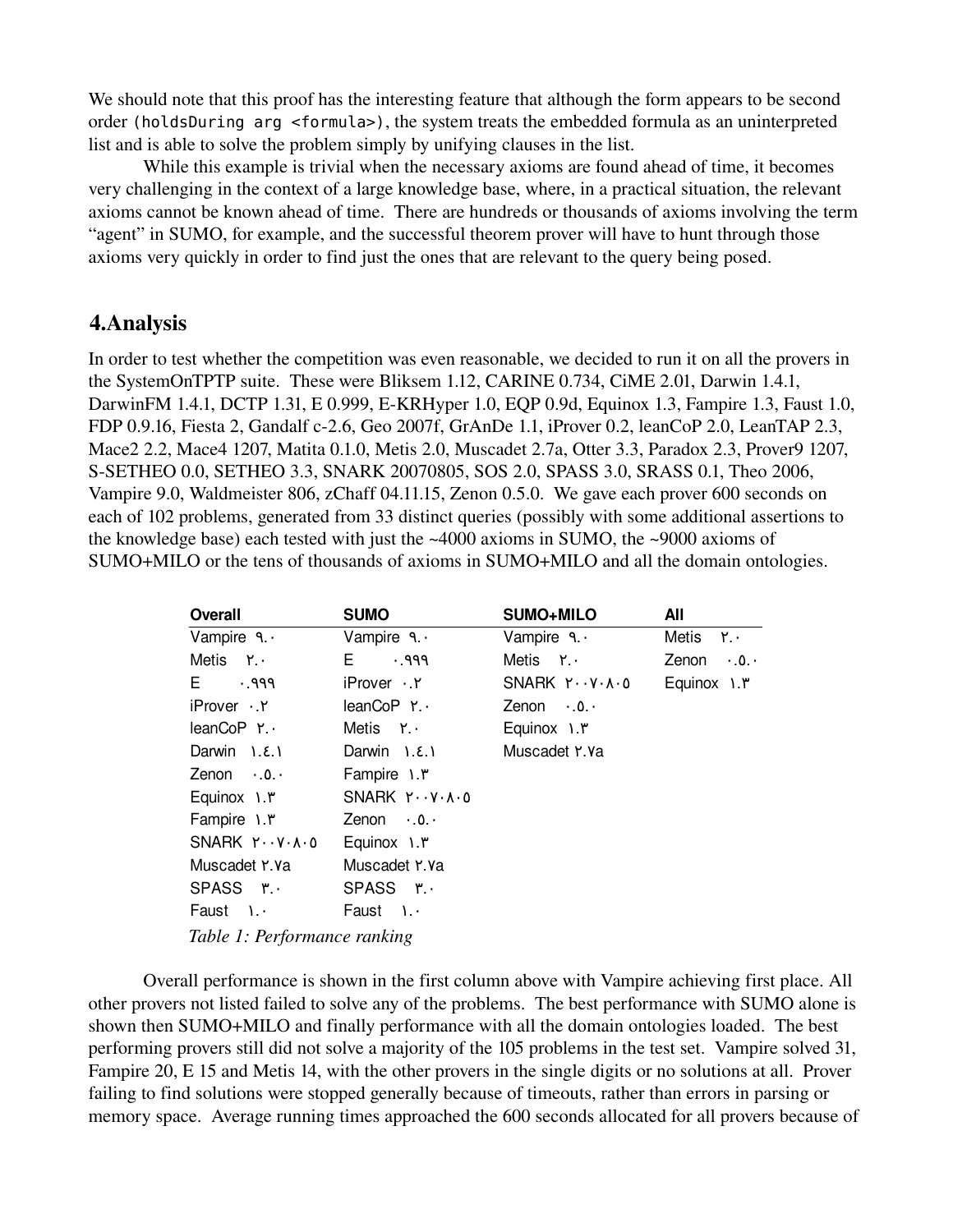We should note that this proof has the interesting feature that although the form appears to be second order (holdsDuring arg <formula>), the system treats the embedded formula as an uninterpreted list and is able to solve the problem simply by unifying clauses in the list.

While this example is trivial when the necessary axioms are found ahead of time, it becomes very challenging in the context of a large knowledge base, where, in a practical situation, the relevant axioms cannot be known ahead of time. There are hundreds or thousands of axioms involving the term "agent" in SUMO, for example, and the successful theorem prover will have to hunt through those axioms very quickly in order to find just the ones that are relevant to the query being posed.

## 4.Analysis

In order to test whether the competition was even reasonable, we decided to run it on all the provers in the SystemOnTPTP suite. These were Bliksem 1.12, CARINE 0.734, CiME 2.01, Darwin 1.4.1, DarwinFM 1.4.1, DCTP 1.31, E 0.999, EKRHyper 1.0, EQP 0.9d, Equinox 1.3, Fampire 1.3, Faust 1.0, FDP 0.9.16, Fiesta 2, Gandalf c-2.6, Geo 2007f, GrAnDe 1.1, iProver 0.2, leanCoP 2.0, LeanTAP 2.3, Mace2 2.2, Mace4 1207, Matita 0.1.0, Metis 2.0, Muscadet 2.7a, Otter 3.3, Paradox 2.3, Prover9 1207, SSETHEO 0.0, SETHEO 3.3, SNARK 20070805, SOS 2.0, SPASS 3.0, SRASS 0.1, Theo 2006, Vampire 9.0, Waldmeister 806, zChaff 04.11.15, Zenon 0.5.0. We gave each prover 600 seconds on each of 102 problems, generated from 33 distinct queries (possibly with some additional assertions to the knowledge base) each tested with just the ~4000 axioms in SUMO, the ~9000 axioms of SUMO+MILO or the tens of thousands of axioms in SUMO+MILO and all the domain ontologies.

| <b>Overall</b>                    | <b>SUMO</b>                       | SUMO+MILO         | All               |
|-----------------------------------|-----------------------------------|-------------------|-------------------|
| Vampire $9.4$                     | Vampire $9.4$                     | Vampire $9.4$     | Metis Y.          |
| Metis $Y \cdot$                   | E.<br>PP.                         | Metis ۲.۰         | Zenon $\cdot$ .0. |
| $E \cdot 999$                     | iProver .Y                        | SNARK Y.V.A.O     | Equinox 1. ٣      |
| iProver Y                         | leanCoP Y                         | Zenon $\cdot$ .0. |                   |
| leanCoP Y.                        | Metis $Y_{\cdot}$ .               | Equinox 1. ٣      |                   |
| Darwin $1.8.1$                    | Darwin $1.8.1$                    | Muscadet Y.Ya     |                   |
| Zenon $\cdot$ .0.                 | Fampire 1. ۳                      |                   |                   |
| Equinox 1. ٣                      | $SNARK Y \cdot Y \cdot A \cdot 0$ |                   |                   |
| Fampire 1. ٣                      | Zenon $\cdot$ .0.                 |                   |                   |
| $SNARK Y \cdot Y \cdot A \cdot 0$ | Equinox 1. ٣                      |                   |                   |
| Muscadet Y. Ya                    | Muscadet Y.Va                     |                   |                   |
| SPASS ۳.                          | SPASS ۳.۰                         |                   |                   |
| Faust $1.4$                       | Faust 1.                          |                   |                   |
| Table 1: Performance ranking      |                                   |                   |                   |

Overall performance is shown in the first column above with Vampire achieving first place. All other provers not listed failed to solve any of the problems. The best performance with SUMO alone is shown then SUMO+MILO and finally performance with all the domain ontologies loaded. The best performing provers still did not solve a majority of the 105 problems in the test set. Vampire solved 31, Fampire 20, E 15 and Metis 14, with the other provers in the single digits or no solutions at all. Prover failing to find solutions were stopped generally because of timeouts, rather than errors in parsing or memory space. Average running times approached the 600 seconds allocated for all provers because of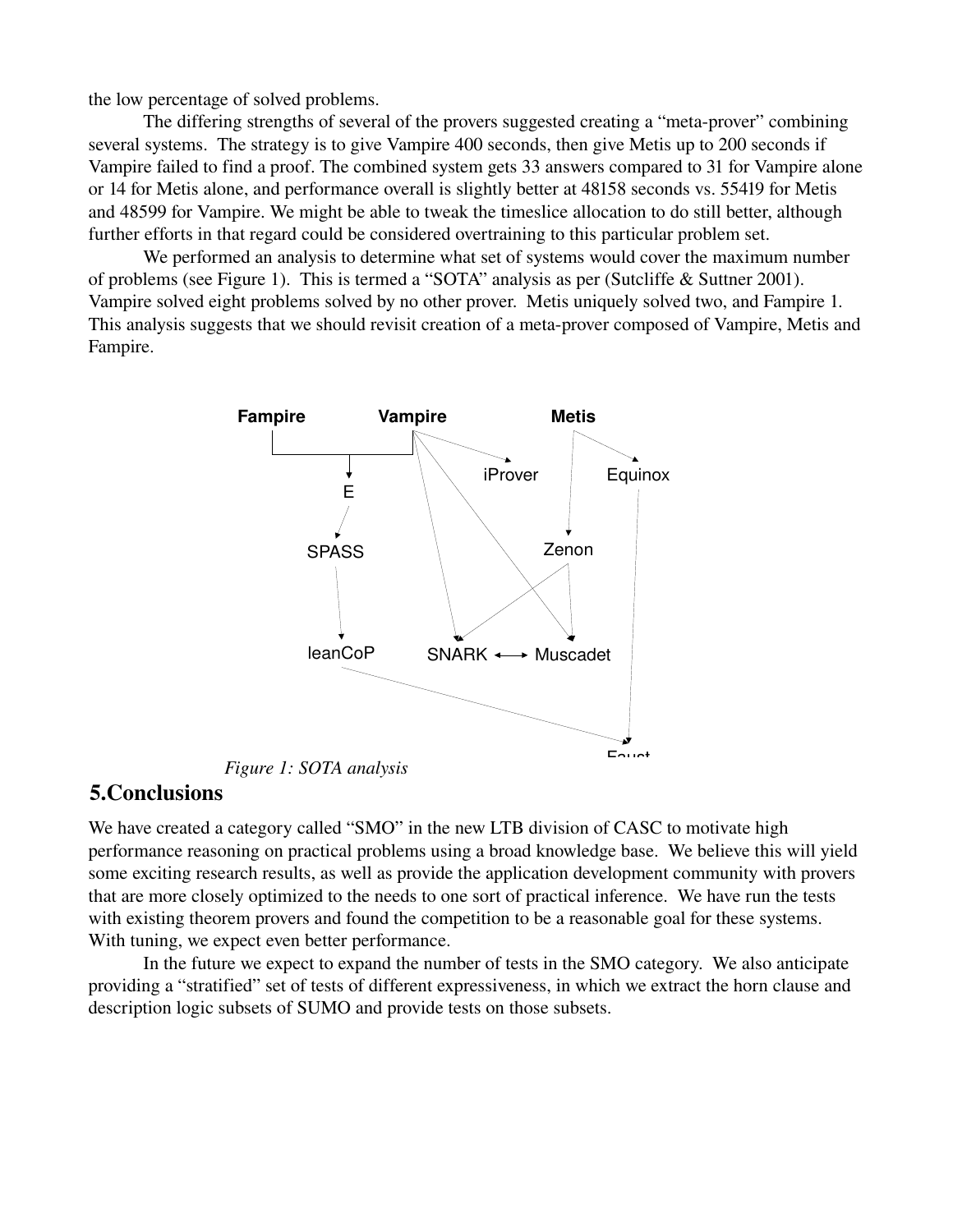the low percentage of solved problems.

The differing strengths of several of the provers suggested creating a "meta-prover" combining several systems. The strategy is to give Vampire 400 seconds, then give Metis up to 200 seconds if Vampire failed to find a proof. The combined system gets 33 answers compared to 31 for Vampire alone or 14 for Metis alone, and performance overall is slightly better at 48158 seconds vs. 55419 for Metis and 48599 for Vampire. We might be able to tweak the timeslice allocation to do still better, although further efforts in that regard could be considered overtraining to this particular problem set.

We performed an analysis to determine what set of systems would cover the maximum number of problems (see Figure 1). This is termed a "SOTA" analysis as per (Sutcliffe & Suttner 2001). Vampire solved eight problems solved by no other prover. Metis uniquely solved two, and Fampire 1. This analysis suggests that we should revisit creation of a meta-prover composed of Vampire, Metis and Fampire.



5.Conclusions

We have created a category called "SMO" in the new LTB division of CASC to motivate high performance reasoning on practical problems using a broad knowledge base. We believe this will yield some exciting research results, as well as provide the application development community with provers that are more closely optimized to the needs to one sort of practical inference. We have run the tests with existing theorem provers and found the competition to be a reasonable goal for these systems. With tuning, we expect even better performance.

In the future we expect to expand the number of tests in the SMO category. We also anticipate providing a "stratified" set of tests of different expressiveness, in which we extract the horn clause and description logic subsets of SUMO and provide tests on those subsets.